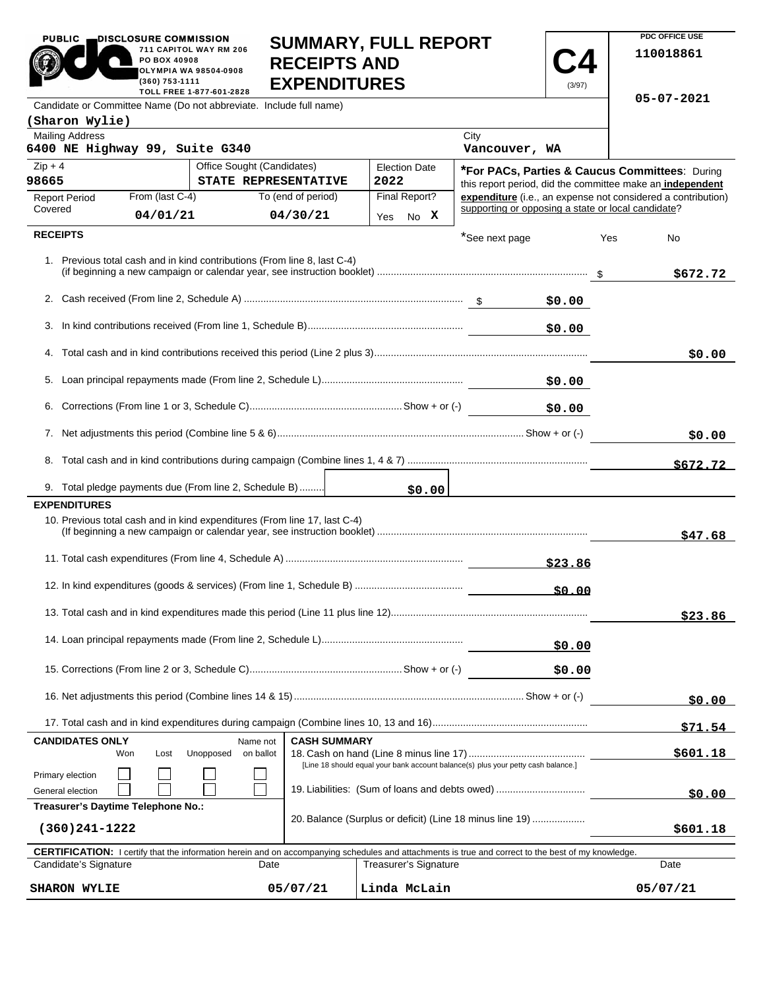|                                                                    | PO BOX 40908<br>(360) 753-1111                                                     | 711 CAPITOL WAY RM 206<br>OLYMPIA WA 98504-0908<br>TOLL FREE 1-877-601-2828 | <b>RECEIPTS AND</b><br><b>EXPENDITURES</b> | <b>JUIVIIVIAN I, FULL NEFUN I</b>                                                 |                                                                                                                        | (3/97)       |            | 110018861 |
|--------------------------------------------------------------------|------------------------------------------------------------------------------------|-----------------------------------------------------------------------------|--------------------------------------------|-----------------------------------------------------------------------------------|------------------------------------------------------------------------------------------------------------------------|--------------|------------|-----------|
| Candidate or Committee Name (Do not abbreviate. Include full name) |                                                                                    |                                                                             |                                            |                                                                                   |                                                                                                                        |              | 05-07-2021 |           |
| (Sharon Wylie)                                                     |                                                                                    |                                                                             |                                            |                                                                                   |                                                                                                                        |              |            |           |
| <b>Mailing Address</b><br>6400 NE Highway 99, Suite G340           |                                                                                    |                                                                             |                                            |                                                                                   | City<br>Vancouver, WA                                                                                                  |              |            |           |
| $Zip + 4$<br>98665                                                 | Office Sought (Candidates)<br><b>Election Date</b><br>STATE REPRESENTATIVE<br>2022 |                                                                             |                                            |                                                                                   | <b>*For PACs, Parties &amp; Caucus Committees: During</b><br>this report period, did the committee make an independent |              |            |           |
| From (last C-4)<br><b>Report Period</b>                            |                                                                                    |                                                                             | To (end of period)                         | Final Report?                                                                     | expenditure (i.e., an expense not considered a contribution)                                                           |              |            |           |
| Covered                                                            | 04/01/21                                                                           |                                                                             | 04/30/21                                   | Yes No X                                                                          | supporting or opposing a state or local candidate?                                                                     |              |            |           |
| <b>RECEIPTS</b>                                                    |                                                                                    |                                                                             |                                            |                                                                                   | *See next page                                                                                                         |              | Yes        | No        |
|                                                                    |                                                                                    | 1. Previous total cash and in kind contributions (From line 8, last C-4)    |                                            |                                                                                   |                                                                                                                        |              |            | \$672.72  |
|                                                                    |                                                                                    |                                                                             |                                            |                                                                                   |                                                                                                                        | \$0.00       |            |           |
| 3.                                                                 |                                                                                    |                                                                             |                                            |                                                                                   |                                                                                                                        | \$0.00       |            |           |
|                                                                    |                                                                                    |                                                                             |                                            |                                                                                   |                                                                                                                        |              |            | \$0.00    |
| 5.                                                                 |                                                                                    |                                                                             |                                            |                                                                                   | \$0.00                                                                                                                 |              |            |           |
|                                                                    |                                                                                    |                                                                             |                                            |                                                                                   |                                                                                                                        | \$0.00       |            |           |
|                                                                    |                                                                                    |                                                                             |                                            |                                                                                   |                                                                                                                        |              |            | \$0.00    |
| 8.                                                                 |                                                                                    |                                                                             |                                            |                                                                                   |                                                                                                                        |              |            | \$672.72  |
|                                                                    |                                                                                    | 9. Total pledge payments due (From line 2, Schedule B)                      |                                            | \$0.00                                                                            |                                                                                                                        |              |            |           |
| <b>EXPENDITURES</b>                                                |                                                                                    |                                                                             |                                            |                                                                                   |                                                                                                                        |              |            |           |
|                                                                    |                                                                                    | 10. Previous total cash and in kind expenditures (From line 17, last C-4)   |                                            |                                                                                   |                                                                                                                        |              |            | \$47.68   |
|                                                                    |                                                                                    |                                                                             |                                            |                                                                                   |                                                                                                                        | \$23.86      |            |           |
|                                                                    |                                                                                    |                                                                             |                                            |                                                                                   |                                                                                                                        | <u>50.00</u> |            |           |
|                                                                    |                                                                                    |                                                                             |                                            |                                                                                   |                                                                                                                        |              |            | \$23.86   |
|                                                                    |                                                                                    |                                                                             |                                            |                                                                                   |                                                                                                                        | \$0.00       |            |           |
|                                                                    |                                                                                    |                                                                             |                                            |                                                                                   | \$0.00                                                                                                                 |              |            |           |
|                                                                    |                                                                                    |                                                                             |                                            |                                                                                   |                                                                                                                        |              |            | \$0.00    |
|                                                                    |                                                                                    |                                                                             |                                            |                                                                                   |                                                                                                                        |              |            | \$71.54   |
| <b>CANDIDATES ONLY</b>                                             | Won<br>Lost                                                                        | Name not<br>Unopposed<br>on ballot                                          | <b>CASH SUMMARY</b>                        |                                                                                   |                                                                                                                        |              |            | \$601.18  |
| Primary election                                                   |                                                                                    |                                                                             |                                            | [Line 18 should equal your bank account balance(s) plus your petty cash balance.] |                                                                                                                        |              |            |           |

19. Liabilities: (Sum of loans and debts owed) .................................

20. Balance (Surplus or deficit) (Line 18 minus line 19) ...................

Treasurer's Signature Date

05/07/21

**\$0.00**

**\$601.18**

 **CERTIFICATION:** I certify that the information herein and on accompanying schedules and attachments is true and correct to the best of my knowledge.

**SUMMARY, FULL REPORT** 

**PDC OFFICE USE** 

PUBLIC **DISCLOSURE COMMISSION** 

General election

**(360)241-1222**

**Treasurer's Daytime Telephone No.:** 

Candidate's Signature Date

**SHARON WYLIE 05/07/21 Linda McLain 05/07/21**

 $\Box$ 

 $\Box$